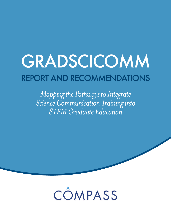# GRADSCICOMM REPORT AND RECOMMENDATIONS

*Mapping the Pathways to Integrate Science Communication Training into STEM Graduate Education*

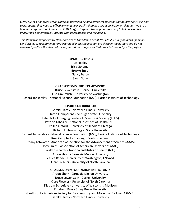*COMPASS* is a nonprofit organization dedicated to helping scientists build the communications skills and social capital they need to effectively engage in public discourse about environmental issues. We are a boundary organization founded in 2001 to offer targeted training and coaching to help researchers understand and effectively interact with policymakers and the media.

This study was supported by National Science Foundation Grant No. 1255633. Any opinions, findings, conclusions, or recommendations expressed in this publication are those of the authors and do not *necessarily reflect the views of the organizations or agencies that provided support for the project.* 

#### **REPORT AUTHORS**

Liz Neeley Erica Goldman Brooke Smith Nancy Baron Sarah Sunu 

#### **GRADSCICOMM PROJECT ADVISORS**

Bruce Lewenstein - Cornell University Lisa Graumlich - University of Washington Richard Tankersley - National Science Foundation (NSF), Florida Institute of Technology

#### **REPORT CONTRIBUTORS**

Gerald Blazey - Northern Illinois University Karen Klomparens - Michigan State University Kate Stoll - Emerging Leaders In Science & Society (ELISS) Patricia Labosky - National Institutes of Health (NIH) Phillip Clifford - University of Illinois at Chicago Richard Linton - Oregon State University Richard Tankersley - National Science Foundation (NSF), Florida Institute of Technology Russ Campbell - Burroughs Wellcome Fund Tiffany Lohwater - American Association for the Advancement of Science (AAAS) Toby Smith - Association of American Universities (AAU) Walter Schaffer - National Institutes of Health (NIH) Ardon Shorr - Carnegie Mellon University Jessica Rohde - University of Washington, ENGAGE Clare Fieseler - University of North Carolina

#### **GRADSCICOMM WORKSHOP PARTICIPANTS**

Ardon Shorr - Carnegie Mellon University Bruce Lewenstein - Cornell University Clare Fieseler - University of North Carolina Dietram Scheufele - University of Wisconsin, Madison Elizabeth Bass - Stony Brook University Geoff Hunt - American Society for Biochemistry and Molecular Biology (ASBMB) Gerald Blazey - Northern Illinois University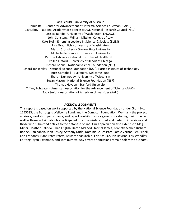Jack Schultz - University of Missouri Jamie Bell - Center for Advancement of. Informal Science Education (CAISE) Jay Labov - National Academy of Sciences (NAS), National Research Council (NRC) Jessica Rohde - University of Washington, ENGAGE John Sonsteng - William Mitchell College of Law Kate Stoll - Emerging Leaders In Science & Society (ELISS) Lisa Graumlich - University of Washington Martin Storkdieck - Oregon State University Michelle Paulsen - Northwestern University Patricia Labosky - National Institutes of Health (NIH) Phillip Clifford - University of Illinois at Chicago Richard Boone - National Science Foundation (NSF) Richard Tankersley - National Science Foundation (NSF), Florida Institute of Technology Russ Campbell - Burroughs Wellcome Fund Sharon Dunwoody - University of Wisconsin Susan Mason - National Science Foundation (NSF) Thomas Hayden - Stanford University Tiffany Lohwater - American Association for the Advancement of Science (AAAS) Toby Smith - Association of American Universities (AAU)

#### **ACKNOWLEDGEMENTS**

This report is based on work supported by the National Science Foundation under Grant No. 1255633, the Burroughs Wellcome Fund, and the Compton Foundation. We thank the project advisors, workshop participants, and report contributors for generously sharing their time, as well as those individuals who participated in our semi-structured and in-depth interviews and those who submitted entries to the database online. Our appreciation also extends to Meg Miner, Heather Galindo, Chad English, Karen McLeod, Karmel James, Kenneth Maher, Richard Boone, Dan Kahan, John Besley, Anthony Dudo, Dominique Brossard, Jamie Vernon, Jen Briselli, Chris Mooney, Hans Peter Peters, Bassam Shahkashiri, Eric Schulze, Jen Davison, Lou Woodley, Ed Yong, Ryan Bixenman, and Tom Burnett. Any errors or omissions remain solely the authors'.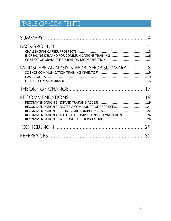# TABLE OF CONTENTS

| LANDSCAPE ANALYSIS & WORKSHOP SUMMARY8                                                                        |  |
|---------------------------------------------------------------------------------------------------------------|--|
|                                                                                                               |  |
| RECOMMENDATION 2: FOSTER A COMMUNITY OF PRACTICE21<br>RECOMMENDATION 4: INTEGRATE COMPREHENSIVE EVALUATION 24 |  |
|                                                                                                               |  |
|                                                                                                               |  |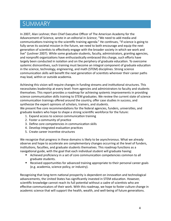# SUMMARY

In 2007, Alan Leshner, then Chief Executive Officer of The American Academy for the Advancement of Science, wrote in an editorial in *Science*, "We need to add media and communications training to the scientific training agenda." He continues, "If science is going to fully serve its societal mission in the future, we need to both encourage and equip the next generation of scientists to effectively engage with the broader society in which we work and live" (Leshner 2007). While some graduate students, faculty, administrators, granting agencies, and nonprofit organizations have enthusiastically embraced this charge, such efforts have largely been conducted in isolation and on the periphery of graduate education. To overcome systemic disincentives, such training must become an integral component of graduate education in the science, technology, engineering, and math (STEM) disciplines. Strong science communication skills will benefit the next generation of scientists wherever their career paths may lead, within or outside academia.

Achieving this vision will require changes in funding streams and institutional structures. This necessitates leadership at every level: from agencies and administrators to faculty and students themselves. This report provides a roadmap for achieving systemic improvements in providing science communication skills training to STEM graduates. We review the current state of science communication trainings offered around the country, offer case studies in success, and synthesize the expert opinions of scholars, trainers, and students.

We present five core recommendations for the federal agencies, funders, universities, and graduate leaders who hope to shape a strong scientific workforce for the future:

- 1. Expand access to science communication training
- 2. Foster a community of practice
- 3. Define core competencies in communication skills
- 4. Develop integrated evaluation practices
- 5. Create career incentive structures

We recognize that progress in these domains is likely to be asynchronous. What we already observe and hope to accelerate are complementary changes occurring at the level of funders, institutions, faculties, and graduate students themselves. This roadmap functions as a navigational guide, with the goal that each individual student will graduate having:

- Achieved proficiency in a set of core communication competencies common to all graduate students.
- Received opportunities for advanced training appropriate to their personal career goals (e.g. academia, science policy, or industry).

Recognizing that long-term national prosperity is dependent on innovation and technological advancements, the United States has significantly invested in STEM education. However, scientific knowledge cannot reach its full potential without a cadre of scientists who are effective communicators of their work. With this roadmap, we hope to foster culture change in academic science that will support the health, wealth, and well-being of future generations.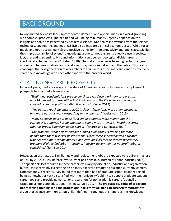# BACKGROUND

Newly minted scientists face unprecedented demands and opportunities in a world grappling with complex problems. The health and well-being of humanity urgently depends on the insights and solutions generated by academic science. Nationally, innovations from the science, technology, engineering and math (STEM) disciplines are a critical economic asset. While social media and open access journals are positive trends for interconnectivity and public accessibility, the simple availability of scientific knowledge alone cannot ensure its effective use in society. In fact, presenting scientifically sound information can deepen ideological divides around ideologically charged issues (D. Kahan 2010). The stakes have never been higher for dialogues among and between natural and social scientists, decision-makers, and the public. This reality challenges the next generation of researchers to train across disciplinary silos and to effectively share their knowledge with each other and with the broader world.

### CHALLENGING CAREER PROSPECTS

In recent years, media coverage of the state of American research funding and employment prospects has painted a bleak scene:

"Traditional academic jobs are scarcer than ever. Once a primary career path, *only* 14 percent of those with a PhD in biology and the life sciences now land a coveted academic position within five years." (Vastag 2012)

*"The pattern reaching back to 2001 is clear* – *fewer jobs, more unemployment,* and more post-doc work – especially in the sciences." (Weissmann 2013)

"Many scientists hold out hope for a simple solution: more money. But the *current U.S. Congress has no appetite to spend more — even on health research that has broad, bipartisan public support.*" (Harris and Benincasa 2014)

"The problem is that any researcher running a lab today is training far more people than there will ever be labs to run. Often these supremely well-educated *trainees are simply cheap laborers, not learning skills for the careers where they* are more likely to find jobs - teaching, industry, government or nonprofit jobs, or *consulting."* (Johnson 2014)

However, an estimated 1.1 million new and replacement jobs are expected to require a master's or PhD by 2022, a 17% increase over current positions (U.S. Bureau of Labor Statistics 2013). The specific skillset required in these careers will vary by discipline, industry, and organization, but will most certainly exceed the disciplinary expertise graduate education currently confers. Unfortunately, a recent survey found that more than half of graduate school deans reported being somewhat or very dissatisfied with their university's ability to support graduate student career goals and provide guidance, or preparation for nonacademic careers (Council of Graduate Schools and Educational Testing Service 2012). The graduate students of today are not receiving training in all the professional skills they will need to succeed tomorrow. We argue that science communication skills – defined throughout this report as the knowledge,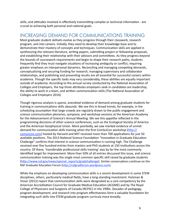skills, and attitudes involved in effectively transmitting complex or technical information - are crucial to achieving both personal and national goals.

### INCREASING DEMAND FOR COMMUNICATIONS TRAINING

Most graduate student skillsets evolve as they progress through their classwork, research program, and into careers. Initially, they need to develop their knowledge base and to demonstrate their mastery of concepts and techniques. Communication skills are applied in synthesizing the relevant literature, writing papers, submitting project or fellowship proposals, and establishing their relationship with their advisors and committees. As they progress beyond the bounds of coursework requirements and begin to shape their research paths, students frequently find they must navigate situations of increasing ambiguity or conflict, requiring greater emphasis on interpersonal dynamics. Reconciling and managing competing demands, conceptualizing and securing funding for research, managing supervisory and collaborator relationships, and publishing and presenting results are all essential for successful careers within academia. Though the specific tasks may vary considerably, these abilities are equally important outside of academia. According to the annual survey conducted by the National Association of Colleges and Employers, the top three attributes employers seek in candidates are leadership, the ability to work in a team, and written communication skills (The National Association of Colleges and Employers 2014).

Though rigorous analysis is sparse, anecdotal evidence of demand among graduate students for training in communications skills abounds. We see this in broad trends, for example, in the scheduling assumption that large crowds are regularly drawn to the public engagement and science communication plenaries, symposia, and workshop sessions at the American Academy for the Advancement of Science's Annual Meeting. We see this appetite reflected in the programming decisions of other science conferences, such as the Ecological Society of America and the American Geophysical Union. More pointedly, we saw marked evidence of unmet demand for communication skills training when the first ComSciCon workshop (http:// comscicon.com) hosted by Harvard and MIT received more than 700 applications for just 50 available positions. The 2013 National Science Foundation "Innovation in Graduate Education Challenge" confirms that interest in science communication is running high. The Challenge received over five hundred entries from masters and PhD students at 150 institutions across the country. Of these, 'transferable professional skills training' was by far the most commonly identified target for improvement. More than 50% of all entries discussed this issue, and science communication training was the single most common specific skill raised by graduate students (http://www.nsf.gov/news/special\_reports/gradchallenge). Similar conversations continue on the NSF Graduate Education Forum (http://nsfgradforum.wordpress.com).

While the emphasis on developing communication skills is a recent development in some STEM disciplines, others, particularly medical fields, have a long-standing investment. Hulsman & Visser (2013) report that communication skills were designated as a core competency by the American Accreditation Council for Graduate Medical Education (ACGME) and by The Royal College of Physicians and Surgeons of Canada (RCPSC) in the 1990s. Decades of pedagogy, program development, and research into program effectiveness form a valuable foundation for integrating such skills into STEM graduate program curricula more broadly.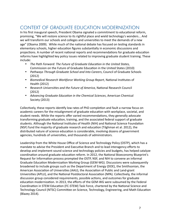# CONTEXT OF GRADUATE EDUCATION MODERNIZATION

In his first inaugural speech, President Obama signaled a commitment to educational reform, promising, "We will restore science to its rightful place and wield technology's wonders... And we will transform our schools and colleges and universities to meet the demands of a new age" (Obama 2009). While much of the national debate has focused on testing standards in elementary schools, higher education figures substantially in economic discussions and projections. A number of recent national reports and recommendations for graduate education reforms have highlighted key policy issues related to improving graduate student training. These include: 

- The Path Forward: The Future of Graduate Education in the United States, Commission on the Future of Graduate Education in the United States (2010)
- Pathways Through Graduate School and Into Careers, Council of Graduate Schools (2012)
- Biomedical Research Workforce Working Group Report, National Institutes of Health (2012)
- Research Universities and the Future of America, National Research Council (2012)
- Advancing Graduate Education in the Chemical Sciences, American Chemical Society (2013)

Collectively, these reports identify low rates of PhD completion and fault a narrow focus on academic careers for the misalignment of graduate education with workplace, societal, and student needs. While the reports offer varied recommendations, they generally advocate transforming graduate education, training, and the associated federal support of graduate students. Although the National Institutes of Health (NIH) and National Science Foundation (NSF) fund the majority of graduate research and education (Tilghman et al. 2012), the distributed nature of science education is considerable, involving dozens of government agencies, hundreds of universities, and thousands of administrators.

Leadership from the White House Office of Science and Technology Policy (OSTP), which has a mandate to advise the President and Executive Branch and to lead interagency efforts to develop and implement sound science and technology policies and budgets, has helped catalyze coordination around graduate education reform. In 2012, the National Bioeconomy Blueprint's Request for Information process prompted the OSTP, NSF, and NIH to convene an informal Graduate Education Modernization Working Group (GEM-WG). Discussions were subsequently broadened to include groups such as the Department of Energy (DOE), the Smithsonian, the American Association of Universities (AAU), the Association of Public and Land-grant Universities (APLU), and the National Postdoctoral Association (NPA). Collectively, the informal discussion group considered requirements, possible actions, and outcomes for graduate education modernization. In 2013, the efforts of the GEM-WG were subsumed by the Federal Coordination in STEM Education (FC-STEM) Task Force, chartered by the National Science and Technology Council (NTSC) Committee on Science, Technology, Engineering, and Math Education (Blazey 2014).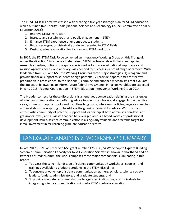The FC-STEM Task Force was tasked with creating a five-year strategic plan for STEM education, which outlined five Priority Goals (National Science and Technology Council Committee on STEM Education 2013):

- 1. Improve STEM instruction
- 2. Increase and sustain youth and public engagement in STEM
- 3. Enhance STEM experience of undergraduate students
- 4. Better serve groups historically underrepresented in STEM fields
- 5. Design graduate education for tomorrow's STEM workforce

In 2014, the FC-STEM Task Force convened an Interagency Working Group on this fifth goal, under the direction "Provide graduate trained STEM professionals with basic and applied research expertise, options to acquire specialized skills in areas of national importance and mission agency's needs, and ancillary skills needed for success in a broad range of careers". With leadership from NIH and NSF, the Working Group has three major strategies: 1) recognize and provide financial support to students of high potential; 2) provide opportunities for fellows' preparation in areas critical to the Nation; 3) combine and enhance mechanisms that evaluate the impact of fellowships to inform future federal investments. Initial deliverables are expected in early 2015 (Federal Coordination in STEM Education Interagency Working Group 2014).

The broader context for these discussions is an energetic conversation defining the challenges of science communication and offering advice to scientists who would engage. In the past five years, numerous popular books and countless blog posts, interviews, articles, keynote speeches, and workshops have sprung up to address the growing demand for advice. With such an enthusiastic community of practice, support and leadership at both administration-level and grassroots levels, and a skillset that can be leveraged across a broad variety of professional development issues, science communication is a singularly valuable and tractable target for initial investment in far-reaching graduate education reform.

# LANDSCAPE ANALYSIS & WORKSHOP SUMMARY

In late 2012, COMPASS received NSF grant number 1255633, "A Workshop to Explore Building Systemic Communication Capacity for Next Generation Scientists." Known in shorthand and on twitter as #GradSciComm, the work comprises three major components, culminating in this report: 

- 1. To assess the current landscape of science communication workshops, courses, and trainings available to graduate students in the STEM disciplines,
- 2. To convene a workshop of science communication trainers, scholars, science society leaders, funders, administrators, and graduate students, and
- 3. To provide concrete recommendations to agencies, institutions, and individuals for integrating science communication skills into STEM graduate education.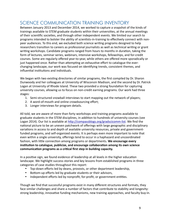## SCIENCE COMMUNICATION TRAINING INVENTORY

Between January 2013 and December 2014, we worked to capture a snapshot of the kinds of trainings available to STEM graduate students within their universities, at the annual meetings of their scientific societies, and through other independent events. We limited our search to programs intended to bolster the ability of scientists-in-training to effectively connect with nonpeer audiences. To this end, we excluded both science writing programs designed to help researchers transition to careers as professional journalists as well as technical writing or grant writing workshops. Candidate programs ranged from hours to months in duration, taking the form of lectures, seminar series, webinars, intensive workshops, fellowships, and for-credit courses. Some are regularly offered year-to-year, while others are offered more sporadically or just happened once. Rather than attempting an exhaustive effort to catalogue the everchanging landscape, our work was focused on identifying trends, consistent themes, and influential institutions and individuals.

We began with two existing directories of similar programs, the first compiled by Dr. Sharon Dunwoody and her colleagues at University of Wisconsin Madison, and the second by Dr. Patrick Logan at University of Rhode Island. These two provided a strong foundation for capturing university courses, allowing us to focus on non-credit earning programs. Our work had three stages: 

- 1. Semi-structured snowball interviews to start mapping out the network of players;
- 2. A word-of-mouth and online crowdsourcing effort;
- 3. Longer interviews for program details.

All told, we are aware of more than forty workshops and training programs available to graduate students in the STEM disciplines, in addition to hundreds of university courses (see Logan 2014). Our list is available at http://compassblogs.org/gradscicomm-list. We find the national picture to be an uneven patchwork of offerings with large geographic and disciplinary variations in access to and depth of available university resources, private and governmentfunded programs, and self-organized events. It is perhaps even more important to note that even within a single university, offerings tend to occur in a haphazard and uncoordinated fashion, with little connection among programs or departments. We encourage every institution to catalogue, publicize, and encourage collaboration among its own science communication programs as a critical first step in building capacity.

In a positive sign, we found evidence of leadership at all levels in the higher education landscape. We highlight success stories and key lessons from established programs in three categories of case studies throughout this report:

- Top-down efforts led by deans, provosts, or other department leadership,
- Bottom-up efforts led by graduate students or their advisors,
- Independent efforts led by nonprofit, for-profit, or government entities.

Though we find that successful programs exist in many different structures and formats, they face similar challenges and share a number of factors that contribute to stability and longevity: strong leadership, innovative funding mechanisms, new training approaches, and faculty buy-in.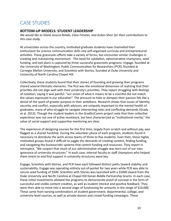# CASE STUDIES

#### **BOTTOM-UP MODELS: STUDENT LEADERSHIP**

We would like to thank Jessica Rohde, Clare Fieseler, and Ardon Shorr for their contributions to this case study.

At universities across the country, motivated graduate students have channeled their enthusiasm for science communication skills into self-organized curricula and entrepreneurial activities. These grassroots efforts take a variety of forms, but encounter similar challenges in creating and maintaining momentum. The need for validation, administrative champions, seed funding, and exit plans is captured by three successful grassroots programs: Engage, founded at the University of Washington; Public Communication for Researchers (PCR), founded at Carnegie Mellon University; and Scientists with Stories, founded at Duke University and University of North Carolina Chapel Hill.

Collectively, these students found that their stories of founding and growing their programs shared several thematic elements. The first was the emotional dimension of realizing that their priorities did not align well with their university's priorities. They report struggling with feelings of isolation, saying it was painful: "our vision of what it means to be a scientist did not match the values expressed in our education". The pressure to hide or dampen their passion felt like a denial of the spark of greater purpose in their ambitions. Research shows that issues of identity, security, and conflict, especially with advisors, are uniquely important to the mental health of graduates, many of who struggle to navigate intersecting roles and conflicting demands (Grady et al. 2013). Though the student leaders in the GradSciComm project note that their collective experience was not one of active resistance, but best characterized as "institutional inertia," the value of social support and supportive mentoring are clear.

The experience of designing courses for the first time, largely from scratch and without pay, was flagged as a shared hardship. During the volunteer phase of each program, students found it necessary to distribute the work across teams of three to five students. Even then, these highly motivated groups found it difficult to juggle the demands of creating content, finding funding, and navigating the bureaucratic systems that control funding and resources. They report in retrospect, "We suspect that much of our administrative struggle was born out of our own ignorance of university structures." In each case, internal faculty or staff champions who helped them orient to and find support in university structures were key.

Engage, Scientists with Stories, and PCR have each followed distinct paths toward viability and sustainability. Engage was operating entirely out-of-pocket for two years while PCR was able to secure seed funding of \$500. Scientists with Stories was launched with a \$5000 award from the Duke University and North Carolina at Chapel Hill Kenan-Biddle Partnership Grants. In each case, these initial investments allowed the programs to demonstrate proof of concept in the form of successful and visible content creation, as well as student interest and positive feedback. They were then able to move into a second stage of fundraising for amounts in the range of \$10,000. These came from varying combinations of student government, departmental, college, and university-level sources, as well as private donors and crowd-funding campaigns. These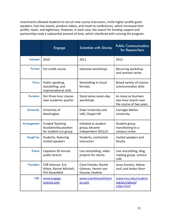investments allowed students to recruit new course instructors, invite higher-profile guest speakers, host live events, produce videos, and travel to conferences, which increased their profile, reach, and legitimacy. However, in each case, the search for funding support and partnerships took a substantial amount of time, which interfered with running the program.

|                   | <b>Engage</b>                                                             | <b>Scientists with Stories</b>                                   | <b>Public Communication</b><br>for Researchers                         |
|-------------------|---------------------------------------------------------------------------|------------------------------------------------------------------|------------------------------------------------------------------------|
| <b>Initiated</b>  | 2010                                                                      | 2011                                                             | 2012                                                                   |
| Format            | For-credit course                                                         | Intensive workshops                                              | Recurring workshop<br>and seminar series                               |
| <b>Focus</b>      | Public speaking,<br>storytelling, and<br>improvisational skills           | Storytelling in visual<br>formats                                | Broad variety of science<br>communication skills                       |
| <b>Duration</b>   | Ten three-hour classes<br>over academic quarter                           | Stand alone seven-day<br>workshops                               | As many as fourteen<br>two-hour events over<br>the course of two years |
| <b>University</b> | University of<br>Washington                                               | Duke University and<br><b>UNC Chapel Hill</b>                    | Carnegie Mellon<br>University                                          |
| Arrangement       | <b>Funded Teaching</b><br>Assistantship position<br>for student-run group | Initiated as student<br>group, became<br>independent 501(c)3     | Student group<br>transitioning to a<br>campus center                   |
| <b>Taught by</b>  | Students, featuring<br>invited speakers                                   | Students, contracted<br>instructors                              | Invited speakers and<br>faculty                                        |
| <b>Extras</b>     | Capstone 30 minute<br>public lecture                                      | Live storytelling, video<br>projects for clients                 | Live storytelling, blog,<br>reading group, science<br>café             |
| <b>Founders</b>   | Cliff Johnson, Eric<br>Hilton, Rachel Mitchell,<br>Phil Rosenfield        | Clare Fieseler, Rachel<br>Gittman, Yasmin von<br>Dassow, Heather | Jesse Dunietz. Adona<br>losif, and Ardon Shorr                         |
| <b>URL</b>        | www.engage-<br>science.com                                                | www.scientistswithstori<br>es.com                                | www.cmu.edu/student-<br>org/pcr/about/<br>index.html                   |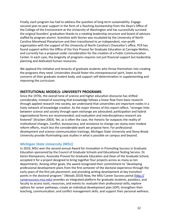Finally, each program has had to address the question of long-term sustainability. Engage secured year-to-year support in the form of a Teaching Assistantship from the Dean's Office of the College of the Environment at the University of Washington and has successfully survived the original founders' graduation thanks to a rotating leadership structure and board of advisors staffed by program alumni. Scientists with Stories was incubated by the University of North Carolina Morehead Planetarium and then transitioned to an independent, non-profit organization with the support of the University of North Carolina's Chancellor's office. PCR has found support within the Office of the Vice Provost for Graduate Education at Carnegie Mellon, and currently has a proposal under consideration for the creation of a Public Communication Center. In each case, the longevity of programs requires not just financial support but leadership planning and dedicated human resources.

We applaud the initiative and tenacity of graduate students who throw themselves into creating the programs they need. Universities should foster this entrepreneurial spirit, listen to the concerns of their graduate student body, and support self-determination in supplementing and improving the curriculum.

#### **INSTITUTIONAL MODELS: UNIVERSITY PROGRAMS**

Since the 1970s, the overall tone of science and higher education discourse has shifted considerably. Instead of assuming that knowledge follows a linear flow from basic research through applied research into society, we understand that universities are important nodes in a lively network of knowledge creation. As the major themes of this report reflect, "stronger links between science and society through open exchange are advocated; participation and hybrid organizational forms are recommended; and evaluation and interdisciplinary research are fostered" (Krücken 2003). Yet, as is often the case, the rhetoric far outpaces the reality of institutional changes. Conflict, bureaucracy, and resistance to change can stymy even modest reform efforts, much less the considerable work we propose here. For professional development and science communication trainings, Michigan State University and Stony Brook University provide illuminating case studies in what is possible on campus and beyond.

#### *Michigan State University (MSU)*

In 2010, MSU won the second annual Award for Innovation in Promoting Success in Graduate Education sponsored by the Council of Graduate Schools and Educational Testing Service. Dr. Karen Klomparens, Associate Provost for Graduate Education and Dean of the Graduate School, accepted it for a project designed to bring together four projects across as many as ten departments. Among other goals, the award recognized their commitment to "developing professional development plans from the first semester of the doctoral experience through the early years of the first job placement; and providing writing development at key transition points in the doctoral program." (Woods 2010) Now, the MSU Career Success portal (http:// careersuccess.msu.edu) provides an integrated platform for graduate students, postdocs, and faculty to access tools, resources, and events to: evaluate their professional skills; explore options for career pathways; create an individual development plan (IDP); strengthen their teaching, communication, and conflict management skills; and support their personal wellness.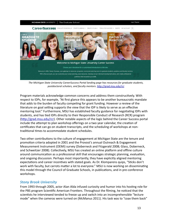

The Michigan State University CareerSuccess Portal landing page has resources for graduate students, *postdoctoral scholars, and faculty mentors.* http://grad.msu.edu/rcr

Program materials acknowledge common concerns and address them constructively. With respect to IDPs, for example, "At first glance this appears to be another bureaucratic mandate that adds to the burden of faculty competing for grant funding. However a review of the literature on goal setting supports the view that the IDP is likely to serve as an effective mentoring tool." Furthermore, MSU has established faculty guidance for negotiating IDPs with students, and has tied IDPs directly to their Responsible Conduct of Research (RCR) program (http://grad.msu.edu/rcr). Other notable aspects of the logic behind the Career Success portal include the attempt to plan workshop offerings on a two year calendar, the creation of certificates that can go on student transcripts, and the scheduling of workshops at nontraditional times to accommodate student schedules.

Two other contributions to the culture of engagement at Michigan State are the tenure and promotion criteria adopted in 2001 and the Provost's annual Outreach & Engagement Measurement Instrument (OEMI) survey (Doberneck and Fitzgerald 2008; Glass, Doberneck, and Schweitzer 2008). Collectively, MSU has created an online platform and offline culture around communication as a professional skill that encourages strategic planning, evaluation, and ongoing discussion. Perhaps most importantly, they have explicitly aligned mentoring expectations and career incentives with stated goals. As Dr. Klomparens quips, "Sticks don't work with faculty, but carrots matter a lot to everyone." MSU is now working on disseminating this model through the Council of Graduate Schools, in publications, and in pre-conference workshops. 

#### **Stony Brook University**

From 1993 through 2005, actor Alan Alda infused curiosity and humor into his hosting role for the PBS program Scientific American Frontiers. Throughout the filming, he noticed that the scientists he interviewed tended to freeze up and switch into an incomprehensible "lecture mode" when the cameras were turned on (McManus 2011). His task was to "coax them back"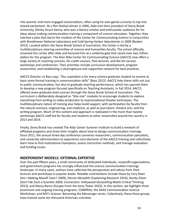into warmer and more engaged conversations, often using his own genial curiosity to tap into shared excitement. At a film festival dinner in 2006, Alda met then-president of Stony Brook University, Shirley Strum Kenny, who was a literary scholar and enthusiastic audience for his ideas about making communication training a component of science education. Together, they hatched a plan that led to the creation of the Center for Communicating Science in conjunction with Brookhaven National Laboratory and Cold Spring Harbor laboratories in 2009 (Basken 2013). Located within the Stony Brook School of Journalism, the Center is led by a multidisciplinary steering committee of science and humanities faculty. The school officially renamed the center after Alda and honored him at a celebrity gala that raised over two million dollars for the program. The Alan Alda Center for Communicating Science (AACCS) now offers a large variety of coaching services, for-credit courses, free lectures, and fee-for-service workshops and conferences. Their priorities include curriculum development, program assessment, and establishing a clearinghouse and supportive network for best practices.

AACCS Director Liz Bass says, "Our aspiration is for every science graduate student to receive at least some formal training in communication skills" (Bass 2012). AACCS links these skills not just to public communication, but also to graduate teaching performance, which has spurred them to develop a new program focused specifically on Teaching Assistants. In Fall 2014, AACCS offered seven graduate-level courses through the Stony Brook School of Journalism. The curriculum is deliberately designed as "bite-size" modules to encourage students to explore everything from writing to video production to improvisational theater techniques. The multidisciplinary nature of training also helps build support, with participation by faculty from the natural sciences, engineering, and medicine, as well as journalism, theatre arts, and the writing program. Much of this content and approach is replicated in the more than twenty workshops AACCS staff led for faculty and students at other universities around the country in 2013 and 2014.

Finally, Stony Brook has created The Alda Center Summer Institute to build a network of affiliated programs and share their insights about how to design communication trainings. Since 2011, the annual three-day conference convenes researchers, communication specialists, and university administrators to experience core elements of the AACCS training and collectively learn how to find institutional champions, assess instruction methods, and manage evaluation and funding issues.

#### **INDEPENDENT MODELS: EXTERNAL EXPERTISE**

Over the past fifteen years, a small community of dedicated individuals, nonprofit organizations, and government programs has strongly influenced the science communication trainings landscape. In many cases, authors have collected the perspectives and advice from their lectures and workshops in popular books. Notable contributions include those by Cory Dean (Am I Making Myself Clear? 2009), Dennis Meredith (Explaining Research 2010), Randy Olson (Don't Be Such a Scientist 2009; Connection: Hollywood Storytelling Meets Critical Thinking 2013), and Nancy Baron (Escape From the Ivory Tower 2010). In this section, we highlight three prominent and ongoing training programs: COMPASS, the AAAS Communication Science Workshops, and NSF's Science: Becoming the Messenger series. Collectively, these three groups have trained some ten thousand American scientists.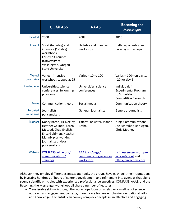|                              | <b>COMPASS</b>                                                                                                                                                     | <b>AAAS</b>                                           | <b>Becoming the</b><br>Messenger                                                      |  |
|------------------------------|--------------------------------------------------------------------------------------------------------------------------------------------------------------------|-------------------------------------------------------|---------------------------------------------------------------------------------------|--|
| <b>Initiated</b>             | 2000                                                                                                                                                               | 2008                                                  | 2010                                                                                  |  |
| Format                       | Short (half-day) and<br>intensive (1-5 day)<br>workshops;<br>For-credit courses<br>(University of<br>Washington, Oregon<br>State University)                       | Half-day and one-day<br>workshops                     | Half-day, one-day, and<br>two-day workshops                                           |  |
| <b>Typical</b><br>group size | Varies - intensive<br>workshops capped at 25                                                                                                                       | Varies - 10 to 100                                    | Varies $-100+$ on day 1,<br><20 for day 2                                             |  |
| <b>Available to</b>          | Universities, science<br>conferences, fellowship<br>programs                                                                                                       | Universities, science<br>conferences                  | Individuals in<br><b>Experimental Program</b><br>to Stimulate<br>Competitive Research |  |
| <b>Focus</b>                 | Communication theory                                                                                                                                               | Social media                                          | Communication theory                                                                  |  |
| <b>Targeted</b><br>audiences | Journalists,<br>policymakers                                                                                                                                       | General, journalists                                  | General, journalists                                                                  |  |
| <b>Trainers</b>              | Nancy Baron, Liz Neeley,<br>Heather Galindo, Karen<br>McLeod, Chad English,<br>Erica Goldman, Heather<br>Mannix plus working<br>journalists and/or<br>policymakers | Tiffany Lohwater, Jeanne<br>Braha                     | Ninja Communications -<br>Joe Schreiber, Dan Agan,<br>Chris Mooney                    |  |
| Website                      | COMPASSonline.org/<br>communications/<br><b>Trainings</b>                                                                                                          | AAAS.org/page/<br>communicating-science-<br>workshops | nsfmessengers.wordpre<br>ss.com/about and<br>http://ninjacoms.com                     |  |

Although they employ different exercises and tools, the groups have each built their reputations by investing hundreds of hours of content development and refinement into agendas that blend sound scientific principles with experienced professional perspectives. COMPASS, AAAS, and the Becoming the Messenger workshops all share a number of features:

• **Transferable skills** – Although the workshops focus on a relatively small set of science outreach and engagement contexts, in each case trainers emphasize foundational skills and knowledge. If scientists can convey complex concepts in an effective and engaging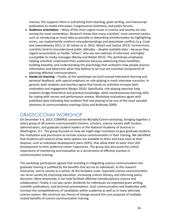manner, this supports them in everything from teaching, grant writing, and manuscript publication to media interviews, Congressional testimony, and public forums.

- **Audience orientation** Many of the most urgent issues in science and society are also among the most contentious. Research shows that many scientists' most common tactics, such as introducing as much data as possible or debunking misinformation by highlighting errors, can inadvertently reinforce misunderstandings and exacerbate conflicts (e.g. Cook and Lewandowsky 2011; D. M. Kahan et al. 2012; Betsch and Sachse 2013). Furthermore, scientists tend to misunderstand public attitudes  $-$  despite available data  $-$  because they regard nonscientists as hostile "others" who are non-rational, ill-informed, and highly susceptible to media messages (Besley and Nisbet 2013). The workshops emphasize helping scientists understand their audiences because addressing these hostilities, building empathy, and understanding the psychology that underpins how people process information and determine what they believe to be true are essential components of planning effective communications.
- Hands-on learning Finally, all the workshops are built around interactive learning and personal feedback, with special emphasis on role-playing in mock interview scenarios. In general, both students and teachers agree that hands-on activities increase both motivation and engagement (Bergin 2010). Specifically, role-playing exercises help students bridge theoretical and practical knowledge, while simultaneously learning skills for coping with nerves and performance anxiety. Workshop evaluations agree with published data indicating that students find role-playing to be one of the most valuable elements of communications trainings (Silva and Bultitude 2009).

### GRADSCICOMM WORKSHOP

On December 5-6, 2013, COMPASS convened the #GradSciComm workshop, bringing together a select group of 30 science communication trainers, scholars, science society staff, funders, administrators, and graduate student leaders at the National Academy of Sciences in Washington, D.C. The group focused on how we might align incentives to give graduate students the motivation and permission to include science communication in their training. We identified that students will need to know what options are available to them and have tools at their disposal, such as individual development plans (IDPs), that allow them to tailor their skill development to their preferred career trajectories. The group also discussed the critical importance of monitoring and evaluation as a cornerstone of effective practice in communication training.

The workshop participants agreed that investing in integrating science communication into graduate training is justified by the benefits that accrue to individuals, to the research enterprise, and to society as a whole. At the broadest scale, improved science communication can serve society by improving education, increasing science literacy, and informing policy decisions. More proximally, it can help facilitate effective interdisciplinary science and collaboration. Finally, it can pay career dividends for individuals via improved grant writing, scientific publications, and technical presentations. Such communication and leadership skills increase the competitiveness of candidates within academia as well as in many alternate science careers. We construct our theory of change around this core proposal of multiple, nested benefits of science communication training.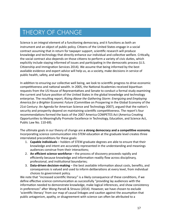# THEORY OF CHANGE

Science is an integral element of a functioning democracy, and it functions as both an instrument and an object of public policy. Citizens of the United States engage in a social contract assuming that in return for taxpayer support, scientific research will produce knowledge and technology that directly enhance our individual and collective welfare. Critically, the social contract also depends on those citizens to perform a variety of civic duties, which explicitly include staying informed of issues and participating in the democratic process (U.S. Citizenship and Immigration Services 2014). We assume that being informed by the best available evidence and expert advice will help us, as a society, make decisions in service of public health, safety, and well-being.

In addition to ensuring our collective well being, we look to scientific progress to drive economic competitiveness and national wealth. In 2005, the National Academies received bipartisan requests from the US House of Representatives and Senate to conduct a formal study examining the current and future position of the United States in the global knowledge and technology enterprise. The resulting report, *Rising Above the Gathering Storm: Energizing and Employing America for a Brighter Economic Future* (Committee on Prospering in the Global Economy of the 21st Century: An Agenda for American Science and Technology 2007), argued that the nation's security and prosperity depend on maintaining scientific competitiveness. The report's four recommendations formed the basis of the 2007 America COMPETES Act (America Creating Opportunities to Meaningfully Promote Excellence in Technology, Education, and Science Act, Public Law No. 110-69).

The ultimate goals in our theory of change are a strong democracy and a competitive economy. Incorporating science communication into STEM education at the graduate level creates three interrelated preconditions for these goals:

- 1. **Capable individuals** holders of STEM graduate degrees are able to ensure that their knowledge and intent are accurately represented in the understanding and meanings audiences construe from their interactions;
- 2. **An efficient science workforce** the process of discovery proceeds rapidly and efficiently because knowledge and information readily flow across disciplinary, professional, and institutional boundaries;
- 3. **Data-driven decision-making** the best available information about costs, benefits, and consequences is valued and used to inform deliberations at every level, from individual choices to government policy.

We note that "increased scientific literacy" is a likely consequence of these conditions, if we define effective science communication as successfully "providing lay audiences with the information needed to demonstrate knowledge, make logical inferences, and show consistency in preferences" after Wong-Parodi & Strauss (2014). However, we have chosen to exclude 'scientific literacy' from our map of causal linkages and caution against the assumption that public antagonism, apathy, or disagreement with science can often be attributed to a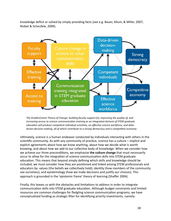knowledge deficit or solved by simply providing facts (see e.g. Bauer, Allum, & Miller, 2007; Nisbet & Scheufele, 2009).



The GradSciComm Theory of Change: building faculty support for, improving the quality of, and *increasing access to science communication training as an integrated element of STEM graduate* education will produce competent individual scientists, an effective science workforce, and datadriven decision-making, all of which contribute to a strong democracy and a competitive economy.

Ultimately, science is a human endeavor conducted by individuals interacting with others in the scientific community. As with any community of practice, science has a culture  $-$  implicit and explicit agreements about how we know anything, about how we decide what is worth knowing, and about how we add to our collective body of knowledge. When we consider how we achieve our three preconditions, we emphasize **the culture change** that must necessarily occur to allow for the integration of science communication skills into STEM graduate education. This means that beyond simply defining which skills and knowledge should be included, we must consider how they are positioned and linked among STEM professionals and educators by: values (the beliefs we collectively hold); identity (how members of the community see ourselves); and epistemology (how we make decisions and justify our choices). This approach is grounded in the 'epistemic frame' theory of learning (Shaffer 2004).

Finally, this leaves us with the obstacles and limitations to address in order to integrate communication skills into STEM graduate education. Although budget constraints and limited resources are common challenges for fledgling science communication programs, we have conceptualized funding as strategic filter for identifying priority investments, namely: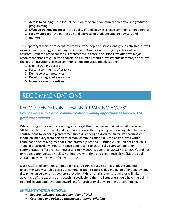- 1. **Access to training** the formal inclusion of science communication options in graduate programming;
- 2. **Effective training practices** the quality of pedagogy in science communication offerings;
- 3. **Faculty support** the permission and approval of graduate student advisors and mentors.

This report synthesizes pre-event interviews, workshop discussions, and group activities, as well as subsequent strategy and writing sessions with GradSciComm Project participants and advisors. From the broad consensus represented in those discussions, we offer five major recommendations to guide the financial and human resource investments necessary to achieve the goal of integrating science communication into graduate education:

- 1. Expand training access
- 2. Foster a community of practice
- 3. Define core competencies
- 4. Develop integrated evaluation
- 5. Increase career incentives

# RECOMMENDATIONS

### RECOMMENDATION 1: EXPAND TRAINING ACCESS *Provide access to formal communication training opportunities for all STEM graduate students.*

While most graduate education programs target the cognitive and technical skills required in STEM disciplines, emotional and communication skills are gaining wider recognition for their contributions to leadership and career success. Although associated traits like charisma and innate abilities vary from person to person, communication skills can be improved with a combination of training, feedback, and practice (Silva and Bultitude 2009; Berkhof et al. 2011). Training is particularly important since people tend to chronically overestimate their communication effectiveness (Keysar and Henly 2002; Kruger et al. 2005; Keysar 2007), and not only does communication ability not improve with time and experience alone (Moore et al. 2013), it may even degrade (Ha et al. 2010).

Our snapshot of communication trainings and courses suggests that graduate students encounter wildly variable access to communication resources depending on their department, discipline, university, and geographic location. While not all students require or will take advantage of the expertise and coaching available to them, all students should have the ability to enroll in graduate-level coursework and/or professional development programming.

#### **IMPLEMENTATION ACTIONS:**

- *• Require Individual Development Plans (IDPs)*
- Catalogue and publicize existing institutional offerings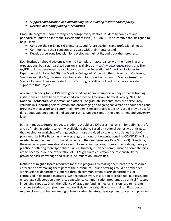- Support collaboration and outsourcing while building institutional capacity
- *• Develop or modify funding mechanisms*

Graduate programs should strongly encourage every doctoral student to complete and periodically update an Individual Development Plan (IDP). An IDP is an iterative tool designed to help users:

- Consider their existing skills, interests, and future academic and professional needs;
- Communicate their concerns and goals with their mentors; and
- Develop a personalized plan for developing their skills, and track their progress.

Each institution should customize their IDP template in accordance with their offerings and expectations, but a standardized version is available at http://myidp.sciencecareers.org. The myIDP tool was developed by a collaboration of the Federation of American Societies for Experimental Biology (FASEB), the Medical College of Wisconsin, the University of California, San Francisco (UCSF), the American Association for the Advancement of Science (AAAS), and Science Careers. It was supported by the Burroughs Wellcome Fund, which also provided support to this project.

As career planning tools, IDPs have generated considerable support among research-training institutions and have been formally endorsed by the American Chemical Society, NIH, The National Postdoctoral Association, and others. For graduate students, they are particularly valuable in supporting self-reflection and encouraging an ongoing conversation about needs and progress with advisors and committee members. Similarly, aggregated IDPs could provide useful data about student demand and support curriculum decisions at the department and university level. 

In the immediate future, graduate students should use IDPs as a mechanism for defining the full array of training options currently available to them. Based on national trends, we anticipate that webinar or workshop offerings such as those provided by scientific societies like AAAS, programs like NSF's Becoming the Messenger, or nonprofit organizations like COMPASS, will be needed to supplement institutional capacity in the near term (see Case Study #3). Over time, these external programs should evolve to focus on innovations, for example bridging theory and practice or offering more specialized skills. Ultimately, if science communication competencies are to become a routine expectation of STEM graduate education, the responsibility for providing basic knowledge and skills is incumbent on universities.

Institutions might allocate resources for these programs by making them part of the research enterprise or by making them part of the curriculum. Course offerings could be embedded within science departments, offered through communication or arts departments, or centralized in dedicated institutes. We encourage every institution to catalogue, publicize, and encourage collaboration among its own science communication programs as a critical first step in building capacity. Given the reliance of graduate funding mechanisms on research grants, changes to educational programming are likely to have significant financial ramifications and require close coordination among university administrators, development offices, and program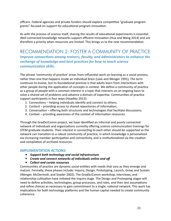officers. Federal agencies and private funders should explore competitive "graduate program grants" focused on support for educational program innovation.

As with the process of science itself, sharing the results of educational experiments is essential. Well-connected knowledge networks support efficient innovation (Hua and Wang 2014) and are therefore a priority when resources are limited. This brings us to the next recommendation.

### RECOMMENDATION 2: FOSTER A COMMUNITY OF PRACTICE *Improve connections among trainers, faculty, and administrators to enhance the exchange of knowledge and best practices for how to teach science <u>communication</u>* skills.

The phrase 'community of practice' arises from influential work on learning as a social process, rather than one that happens inside an individual brain (Lave and Wenger 1991). The term continues to evolve, but its foundational premise is that adults learn from interactions with other people during the application of concepts in context. We define a community of practice as a group of people with a common interest in a topic that interacts on an ongoing basis to solve a shared set of problems and advance a domain of expertise. Communities of practice support participants in four ways (Hoadley 2012):

- 1. Connections helping individuals identify and connect to others;
- 2. Content providing access to shared repositories of information;
- 3. Conversation offering both structures and technologies that facilitate discussions;
- 4. Context  $-$  providing awareness of the context of information resources.

Through the GradSciComm project, we have identified an informal and poorly connected network of individuals and organizations currently offering science communication trainings for STEM graduate students. Their interest in connecting to each other should be supported so the network can transition to a robust community of practice, in which knowledge is *personalized* via increasing member participation and connectivity, and is *institutionalized* via the creation and compilation of archived resources.

#### **IMPLEMENTATION ACTIONS:**

- *• Support both technology and social infrastructure*
- Create and connect networks of individuals online and off
- Collect and curate resources

Communities of practice are dynamic social entities with needs that vary as they emerge and mature. Formally, these phases include: Inquiry, Design, Prototyping, Launch, Grow, and Sustain (Wenger, McDermott, and Snyder 2002). The GradSciComm workshop, interviews, and relationship cultivation have initiated the Inquiry stage. The Design and Protoyping stages will need to define activities, technologies, group processes, and roles, and then test assumptions and refine choices as necessary to gain commitment to a single, national network. This work has implications for both technology platforms and the human capital needed to create community coherence.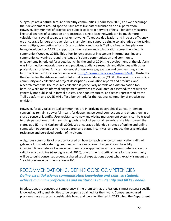Subgroups are a natural feature of healthy communities (Andriessen 2005) and we encourage their development around specific issue areas like data visualization or risk perception. However, communities of practice are subject to certain network effects  $-$  for some measures like total degrees of separation or robustness, a single large network can be much more valuable than several separate smaller networks. To reduce duplication and increase efficiency, we encourage funders and agencies to champion and support a single collaborative undertaking over multiple, competing efforts. One promising candidate is Trellis, a free, online platform being developed by AAAS to support communication and collaboration across the scientific community (Woodley 2015). This effort follows years of investment in formal training and community convening around the issues of science communication and community engagement. Scheduled for a beta launch by the end of 2014, the development of the platform was informed by network theory and practices, audience research, and dialogues with other professional societies. An alternate model of resource aggregation and peer learning is the Informal Science Education Evidence wiki (http://informalscience.org/research/wiki). Hosted by the Center for the Advancement of Informal Science Education (CAISE), the wiki hosts an online community and collection of project descriptions, evaluation reports and products, and research materials. The resource collection is particularly notable as a dissemination tool because while many informal engagement activities are evaluated or assessed, the results are generally not published in formal outlets. The rigor, resources, and reach represented by the Trellis platform and CAISE wiki offer a benchmark for the national community of practice we envision. 

However, for as vital as virtual communities are in bridging geographic distance, in-person convenings remain a powerful means for deepening personal connections and strengthening a shared sense of identify. User resistance to new knowledge management systems can be traced to their perceptions of high switching costs, a lack of personal rewards, and a bias toward the status quo (Kim and Kankanhalli 2009). We encourage a blended strategy of online and offline connection opportunities to increase trust and status incentives, and reduce the psychological resistance and perceived burden of involvement.

A vigorous community of practice focused on how to teach science communication skills will galvanize knowledge sharing, learning, and organizational change. Given the wildly interdisciplinary nature of science communication approaches and academic debate about its validity as a discipline (Gascoigne et al. 2010), one of the first critical tasks for the community will be to build consensus around a shared set of expectations about what, exactly is meant by "teaching science communication skills".

### RECOMMENDATION 3: DEFINE CORE COMPETENCIES **Define essential science communication knowledge and skills, so students** *achieve minimum proficiencies and institutions can identify and fill key needs.*

In education, the concept of competency is the premise that professionals must possess specific knowledge, skills, and abilities to be properly qualified for their work. Competency-based programs have attracted considerable buzz, and were legitimized in 2013 when the Department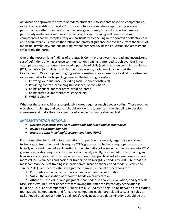of Education approved the award of federal student aid to students based on competencies, rather than credit-hours (Field 2013). The emphasis a competency approach places on performance, rather than on abstract knowledge or merely hours of instruction, makes it particularly useful for communication training. Though defining and demonstrating competencies can be complex, they are particularly compelling in the context of effectiveness and accountability. Extensive theoretical and practical guidance are available from the fields of medicine, psychology, and engineering, where competency-based education and assessment are already the norm.

One of the most striking findings of the GradSciComm project was the broad and inconsistent set of definitions of what science communication training is intended to achieve. Our initial attempt to categorize content revealed a pastiche of skills (verbal, written, graphic), audiences (K12, lay public, journalists), and channels (live events, social media, video). At the GradSciComm Workshop, we sought greater consistency via an exercise to elicit, prioritize, and rank essential skills. Participants generated the following priorities:

- 1. Knowing your audience (including social science constructs)
- 2. Providing context (explaining the salience, or "so what?")
- 3. Using language appropriately (avoiding jargon)
- 4. Using narrative appropriately (storytelling)
- 5. Writing clearly

Whether these are valid or appropriately ranked requires much deeper vetting. Those teaching workshops, trainings, and courses should work with academics in the discipline to develop consensus and make the core expertise of science communication explicit.

#### **IMPLEMENTATION ACTIONS:**

- Develop consensus around foundational and functional competencies
- *Involve education planners*
- *• Integrate with Individual Development Plans (IDPs)*

From competing for funding to expectations for public engagement, large-scale social and technological trends increasingly require STEM graduates to be better equipped and more broadly educated than before. Investing in the integration of science communication into STEM graduate education requires consistency about what, exactly, is expected of such training and how success is measured. Previous work has shown that practical skills-focused exercises are more valued by trainees and easier for trainers to deliver (Miller and Fahy 2009), but that the most common focus of training is in basic communication theories and models (Besley and Tanner 2011). We need to establish agreement around minimal expectations for:

- Knowledge the concepts, theories and foundational information
- Skills the application of theory to hands-on practical tasks.

• Attitudes – the values and judgments that underpin analysis, evaluation, and synthesis Discussions would further benefit from following the American Psychology Association in building a "culture of competence" (Roberts et al. 2005) by distinguishing between cross-cutting foundational competencies and functional competencies that are related to specific roles or tasks (Fouad et al. 2009; Rodolfa et al. 2005). Arriving at those determinations should be the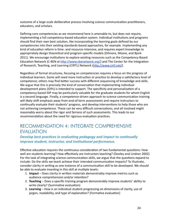outcome of a large-scale deliberative process involving science communication practitioners, educators, and scholars.

Defining core competencies as we recommend here is amenable to, but does not require, implementing a full competency-based education system. Individual institutions and programs should find their own best solution, like incorporating the learning goals defined by our competencies into their existing standards-based approaches, for example. Implementing any kind of education reform is time- and resource-intensive, and requires expert knowledge to appropriately design theoretical and program-specific models (Dilmore, Moore, and Bjork 2011). We encourage institutions to explore existing resources such as the Competency-Based Education Network (C-BEN at  $\frac{http://www.coenetwork.org/}{http://www.coenetwork.org/}$  and The Center for the Integration of Research, Teaching, and Learning (CIRTL) Network (http://www.cirtl.net/).

Regardless of formal structures, focusing on competencies requires a focus on the progress of individual learners. Some will need more instruction or practice to develop a satisfactory level of competence; others may find better success with different sequencing of knowledge and skills. We argue that this is precisely the kind of conversation that implementing individual development plans (IDPs) is intended to support. The specificity and personalization of a competency-based IDP may be particularly valuable for the graduate students for whom English is a second language. Finally, a competence-driven approach to science communication training will likely shift emphasis away from end-of-term assessments and require instructors to continually evaluate their students' progress, and develop interventions to help those who are not achieving competence. These can be very difficult conversations, and all involved might reasonably worry about the rigor and fairness of such assessments. This leads to our recommendation about the need for rigorous evaluation practices.

### RECOMMENDATION 4: INTEGRATE COMPREHENSIVE EVALUATION

#### **Develop best practices in evaluating pedagogy and impact to continually** *improve student, instructor, and institutional performance.*

Effective education requires the continuous consideration of two fundamental questions: How well are students learning? How effectively are instructors teaching? (Dooley and Lindner 2002) For the task of integrating science communication skills, we argue that the questions expand to include: Do the skills we teach achieve their intended communication impacts? To illustrate, consider clarity in writing as one instance of a communication skill to be developed. We should be able to evaluate investing in this skill at multiple levels:

- 1. **Impact** Does clarity in written materials demonstrably improve metrics such as audience comprehension and/or retention?
- 2. **Teaching** Does a specific training program demonstrably improve students' ability to write clearly? (Summative evaluation)
- 3. Learning How is an individual student progressing on dimensions of clarity, use of jargon, readability, and type of explanation? (Formative evaluation)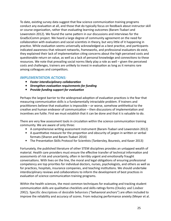To date, existing survey data suggest that few science communication training programs conduct any evaluation at all, and those that do typically focus on feedback about instructor skill or course organization, rather than evaluating learning outcomes (Baram-Tsabari and Lewenstein 2012). We found the same pattern in our discussions and interviews for the GradSciComm project. We heard a large degree of community agreement on the need for collaboration with evaluators and social scientists in theory, but very little of it happening in practice. While evaluation seems universally acknowledged as a best practice, and participants indicated awareness that relevant networks, frameworks, and professional evaluators do exist, they explained their lack of implementation citing concerns about the high perceived costs and questionable return on value, as well as a lack of personal knowledge and connections to these resources. We note that prevailing social norms likely play a role as well – given the perceived costs and challenges, trainers are unlikely to invest in evaluation as long as it remains rare among colleagues and competitors.

#### **IMPLEMENTATION ACTIONS:**

- **•** Foster interdisciplinary collaboration
- Strengthen evaluation requirements for funding
- Provide funding support for evaluation

Perhaps the largest barrier to the widespread adoption of evaluation practices is the fear that measuring communication skills is a fundamentally intractable problem. If trainers and practitioners believe that evaluation is impossible  $-$  or worse, somehow antithetical to the creative and human endeavor of communication  $-$  then discussions of implementation and incentives are futile. First we must establish that it can be done and that it is valuable to do.

There are very few assessment tools in circulation within the science communication training community. We are aware of only three:

- A comprehensive writing assessment instrument (Baram-Tsabari and Lewenstein 2012)
- A quantitative measure for the proportion and obscurity of jargon in written or verbal formats (Sharon and Baram-Tsabari 2014)
- The Presentation Skills Protocol for Scientists (Tankersley, Bourexis, and Kaser 2013)

Fortunately, the published literature of other STEM disciplines provides an untapped wealth of material. Health care providers must ensure the effective transfer of technical information and assessments of risk and uncertainty, often in terribly urgent and emotionally fraught conversations. With lives on the line, the moral and legal obligations of ensuring professional competency are top priorities for individual doctors, nurses, psychologists, and others as well as for practices, hospitals, insurance companies, and teaching institutions. We should undertake interdisciplinary reviews and collaborations to inform the development of best practices in evaluation of science communication training programs.

Within the health sciences, the most common techniques for evaluating and tracking student communication skills are qualitative checklists and skills-ratings forms (Dooley and Lindner 2002). Specific descriptions of desirable behaviors ("behavioral anchors") are often included to improve the reliability and accuracy of scores. From reducing performance anxiety (Meyer et al.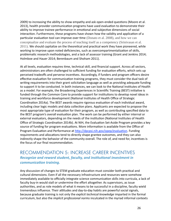2009) to increasing the ability to show empathy and ask open-ended questions (Moore et al. 2013), health provider communication programs have used evaluation to demonstrate their ability to improve trainee performance in emotional and subjective dimensions of social interaction. Furthermore, these programs have shown how the validity and application of a particular evaluation tool can improve over time (Donato et al. 2008), and how we can conceptualize and evaluate the process of teaching itself as a competency (Srinivasan et al.  $2011$ ). We should capitalize on the theoretical and practical work they have pioneered, while working to improve upon noted deficiencies, such as overcompartmentalization of skills, problematic research methodologies, and a lack of assessor training (Grant and Jenkins 2014; Holmboe and Hauer 2014; Berenbaum and Shoham 2011).

At all levels, evaluation requires time, technical skill, and financial support. Across all sectors, administrators are often challenged to sufficient funding for evaluation efforts, which sets up perceived tradeoffs and perverse incentives. Accordingly, if funders and program officers desire effective evaluation for communication training programs, they must consider the dual task of writing requirements into their grant solicitation language as well as providing adequate funding to support it to be conducted. In both instances, we can look to the National Institutes of Health as a model. For example, the Broadening Experiences in Scientific Training (BEST) initiative is funded through the Common Core to provide support for institutions to develop novel ideas in training and workforce development (National Institutes of Health Office of Strategic Coordination 2014a). The BEST awards require rigorous evaluation of each individual award, including clear logic models and data collection plans. Applicants are expected to propose the most appropriate type of evaluation for their program, as well as contributing specified data to the BEST program's overall evaluation plan. The work can be performed by either internal or external evaluators, depending on the needs of the institution (National Institutes of Health Office of Strategic Coordination 2014b). At NIH, the Evaluation Set-Aside Program provides a key source of funding for program evaluations. More information is available from the Office of Program Evaluation and Performance at http://dpcpsi.nih.gov/opep/evaluation. Funding requirements and allocations tend to directly shape grantee outcomes, and they can also indirectly shape the behavior of the community overall. The role of, and need for, incentives is the focus of our final recommendation.

### RECOMMENDATION 5: INCREASE CAREER INCENTIVES *Recognize and reward student, faculty, and institutional investment in communication training.*

Any discussion of changes to STEM graduate education must consider both practical and cultural dimensions. Even if all the necessary infrastructure and resources were somehow immediately available to officially integrate science communication skills into curricula, a lack of faculty buy-in would stall or undermine the effort altogether. As supervisors, as issue authorities, and as role models of what it means to be successful in a discipline, faculty wield tremendous influence. Their attitudes and day-to-day habits are powerful social signals, because graduate training is not only the *explicit technical knowledge* imparted in the formal curriculum, but also the *implicit professional norms* inculcated in the myriad informal contexts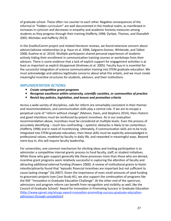of graduate school. These often run counter to each other. Negative consequences of the informal or "hidden curriculum" are well documented in the medical realm, as manifested in increases in cynicism and decreases in empathy and academic honesty measures among students as they progress through their training (Hafferty 1998; Dyrbye, Thomas, and Shanafelt 2005; Michalec and Hafferty 2013).

In the GradSciComm project and related literature reviews, we found extensive concern about advisor/advisee relationships (e.g. Hyun et al. 2006; Salguero-Gomez, Whiteside, and Talbot 2008; Kuehne et al. 2014). Multiple participants shared personal experiences of students actively hiding their enrollment in communication training courses or workshops from their advisors. There is some evidence that a lack of explicit support for engagement activities is at least as important as explicit disapproval (Andrews et al. 2005). Faculty buy-in is essential for the successful integration of science communication training into STEM graduate education. We must acknowledge and address legitimate concerns about what this entails, and we must create meaningful incentive structures for students, advisors, and their institutions.

#### **IMPLEMENTATION ACTIONS:**

- Create competitive grant programs
- Recognize excellence within university, scientific societies, or communities of practice
- Revisit key policies, legislation, and tenure and promotion criteria

Across a wide variety of disciplines, calls for reform are remarkably consistent in their themes and recommendations, and communication skills play a central role. If we are to escape a perpetual cycle of "reform without change" (Matson, Davis, and Stephens 2014), then rhetoric and good intentions must be reinforced by potent incentives. As in our evaluation recommendation above, incentives must be considered at multiple levels. Even the process of accurately identifying – much less confronting – systemic obstacles is likely to be contentious (Hafferty 1998) and in need of incentivizing. Ultimately, if communication skills are to be truly integrated into STEM graduate education, then these skills must be explicitly acknowledged in professional values, modeled by faculty in daily life, and rewarded in meaningful ways. Beyond mere buy-in, this will require faculty leadership.

For universities, one common mechanism for eliciting ideas and inviting participation is to administer a competitive internal grants process to fund faculty, staff, or student initiatives. While those who gain support generally like these processes more than those who are denied, incentive grant programs seem relatively successful in capturing the attention of faculty and attracting additional external funding (Powers 2000). A review of institutional grants to foster interdisciplinarity found that "episodic financial incentives are important but not sufficient to cause lasting change" (Sá 2007). Given the importance of even small amounts of seed funding to grassroots projects (see Case Study #1), we also support the continuation of programs like the NSF "Innovation in Graduate Education Challenge". At the other end of the spectrum, admissions and program reform can benefit from recognition and visibility as well, like the Council of Graduate Schools' Award for Innovation in Promoting Success in Graduate Education (http://www.cgsnet.org/etscgs-award-innovation-promoting-success-graduate-educationadmission-through-completion).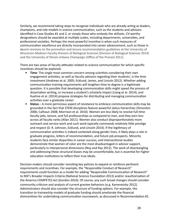Similarly, we recommend taking steps to recognize individuals who are already acting as leaders, champions, and role models in science communication, such as the students and advisors identified in Case Studies #1 and 2, or simply those who embody the skillsets. CV-worthy designations should be awarded at multiple scales, including departments, universities, and professional societies. Perhaps the most powerful incentive is when such measures of communication excellence are directly incorporated into career advancement, such as those in recent revisions to the promotion and tenure recommendation guidelines at the University of Wisconsin-Madison Faculty Division of Biological Sciences (Division of Biological Sciences 2014) and the University of Illinois-Urbana Champaign (Office of the Provost 2011).

There are two areas of faculty attitudes related to science communication for which specific incentives should be explored:

- **Time**: The single most common concern among scientists considering their own engagement activities, as well as faculty advisors regarding their students', is the time investment (Andrews et al. 2005; Ecklund, James, and Lincoln 2012). Whether adding communication training requirements will lengthen time to degree is a legitimate question. It is possible that developing communication skills might speed the process of dissertation writing, or increase a student's scholarly impact (Liang et al. 2014), and Kuehne et al. (2014) propose strategies for distributing and managing communication activities over a graduate career.
- **Status** A more pernicious aspect of resistance to embrace communication skills may be grounded in the fact that STEM disciplines feature powerful status hierarchies (Simonton 2006; Calhoun 2008; Morrison et al. 2010). Women are less likely to receive full-time faculty jobs, tenure, and full professorships as compared to men, and they earn less across all faculty ranks (Allan 2011). Women also conduct disproportionately more outreach and service work and such work typically commands relatively little prestige and respect (D. R. Johnson, Ecklund, and Lincoln 2014). If the legitimacy of communication activities is indeed contested along gender lines, it likely plays a role in graduate progress, letters of recommendation, and future job prospects. Minority students face similar disparities in career success, and intersectional studies demonstrate that women of color are the most disadvantaged in advisor support, particularly in interpersonal dimensions (Noy and Ray 2012). The work of disentangling and addressing these structural biases may be uncomfortable, but is essential for higher education institutions to reflect their true ideals.

Decision-makers should consider revisiting key policies to expand or reinforce pertinent requirements and incentives. For example, the "Responsible Conduct of Research" requirements could function as a model for adding "Responsible Communication of Research" to NSF's Broader Impacts Criteria (National Science Foundation 2013) and/or reauthorization of the America COMPETES Act (Gordon 2010). Of course, any such broad changes should consider community criticism and analysis of current grantee behaviors (e.g. Kamenetzky 2012). Administrators should also consider the structure of funding options. For example, the transition to traineeship models of graduate funding should ameliorate the financial disincentives for undertaking communication coursework, as discussed in Recommendation #1.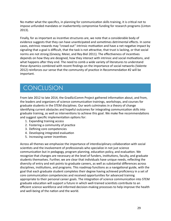No matter what the specifics, in planning for communication skills training, it is critical not to impose unfunded mandates or inadvertently compromise funding for research programs (Linton 2013).

Finally, for as important as incentive structures are, we note that a considerable body of evidence suggests that they can have unanticipated and sometimes detrimental effects. In some cases, extrinsic rewards may "crowd out" intrinsic motivation and have a net negative impact by signaling that a goal is difficult, that the task is not attractive, that trust is lacking, or that social norms are not strong (Gneezy, Meier, and Rey-Biel 2011). The effectiveness of incentives depends on how they are designed, how they interact with intrinsic and social motivations, and what happens after they end. The need to comb a wide variety of literatures to understand these dynamics combined with recent findings on the importance of social networks (Valente 2012) reinforces our sense that the community of practice in Recommendation #2 will be important. 

# **CONCLUSION**

From late 2012 to late 2014, the GradSciComm Project gathered information about, and from, the leaders and organizers of science communication trainings, workshops, and courses for graduate students in the STEM disciplines. Our work culminates in a theory of change identifying current obstacles and hopeful outcomes for integrating communication skills into graduate training, as well as interventions to achieve this goal. We make five recommendations and suggest specific implementation options for:

- 1. Expanding training access
- 2. Fostering a community of practice
- 3. Defining core competencies
- 4. Developing integrated evaluation
- 5. Increasing career incentives

Across all themes we emphasize the importance of interdisciplinary collaboration with social scientists and the involvement of professionals who specialize in not just science communication but in pedagogy, program planning, education policy, and evaluation. We recognize that changes are necessary at the level of funders, institutions, faculty, and graduate students themselves. Further, we are clear that individuals have unique needs, reflecting the diversity of entry and exit points to graduate careers, as well as substantial differences across disciplines, institutions, and programs. This roadmap functions as a navigational guide, with the goal that each graduate student completes their degree having achieved proficiency in a set of core communication competencies and received opportunities for advanced training appropriate to their personal career goals. The integration of science communication into STEM graduate education will support a future in which well-trained scientists contribute to an efficient science workforce and informed decision-making processes to help improve the health and well-being of the nation and the world.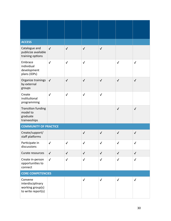| <b>ACCESS</b>                                                          |              |              |              |              |              |              |
|------------------------------------------------------------------------|--------------|--------------|--------------|--------------|--------------|--------------|
| Catalogue and<br>publicize available<br>training options               | $\checkmark$ | $\checkmark$ | $\checkmark$ | $\checkmark$ |              |              |
| Embrace<br>individual<br>development<br>plans (IDPs)                   | $\checkmark$ | $\checkmark$ | $\checkmark$ |              | $\checkmark$ | $\checkmark$ |
| Organize trainings<br>by external<br>groups                            | $\checkmark$ | $\checkmark$ | $\checkmark$ | $\checkmark$ | $\checkmark$ | $\checkmark$ |
| Create<br>institutional<br>programming                                 | $\checkmark$ | $\checkmark$ | $\checkmark$ | $\checkmark$ |              |              |
| Transition funding<br>model to<br>graduate<br>traineeships             |              |              |              |              | $\checkmark$ | $\checkmark$ |
| <b>COMMUNITY OF PRACTICE</b>                                           |              |              |              |              |              |              |
| Create/support/<br>staff platforms                                     |              |              | $\checkmark$ | $\checkmark$ | $\checkmark$ | $\checkmark$ |
| Participate in<br>discussions                                          | $\checkmark$ | $\checkmark$ | $\checkmark$ | $\checkmark$ | $\checkmark$ | $\checkmark$ |
| Curate resources                                                       | $\checkmark$ | $\checkmark$ | $\checkmark$ | $\checkmark$ | $\checkmark$ | $\checkmark$ |
| Create in-person<br>opportunities to<br>connect                        | $\checkmark$ | $\checkmark$ | $\checkmark$ | $\checkmark$ | $\checkmark$ | $\checkmark$ |
| <b>CORE COMPETENCIES</b>                                               |              |              |              |              |              |              |
| Convene<br>interdisciplinary<br>working group(s)<br>to write report(s) |              |              | $\checkmark$ | $\checkmark$ | $\checkmark$ | $\checkmark$ |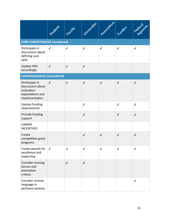|                                                                                         | Students     | Focum        | Universites  | Associations | Funders      | Federaties   |  |
|-----------------------------------------------------------------------------------------|--------------|--------------|--------------|--------------|--------------|--------------|--|
| <b>CORE COMPETENCIES (continued)</b>                                                    |              |              |              |              |              |              |  |
| Participate in<br>discussions about<br>defining core<br>skills                          | $\checkmark$ | $\checkmark$ | $\checkmark$ | $\checkmark$ | $\checkmark$ | $\checkmark$ |  |
| <b>Update IDPs</b><br>accordingly                                                       | $\checkmark$ | $\checkmark$ | $\checkmark$ |              |              |              |  |
| <b>COMPREHENSIVE EVALUATION</b>                                                         |              |              |              |              |              |              |  |
| Participate in<br>discussions about<br>evaluation<br>expectations and<br>implementation | $\checkmark$ | $\checkmark$ | $\checkmark$ | $\checkmark$ | $\checkmark$ | $\checkmark$ |  |
| <b>Update funding</b><br>requirements                                                   |              |              | $\checkmark$ |              | $\checkmark$ | $\checkmark$ |  |
| Provide funding<br>support                                                              |              |              | $\checkmark$ |              | $\checkmark$ | $\checkmark$ |  |
| <b>CAREER</b><br><b>INCENTIVES</b>                                                      |              |              |              |              |              |              |  |
| Create<br>competitive grant<br>programs                                                 |              |              | $\checkmark$ | $\checkmark$ | $\checkmark$ | $\checkmark$ |  |
| Create awards for<br>excellence and<br>leadership                                       | $\checkmark$ | √            | $\checkmark$ | ✓            | ✓            | √            |  |
| Consider revising<br>tenure and<br>promotion<br>criteria                                |              | $\checkmark$ | $\checkmark$ |              |              |              |  |
| Consider revised<br>language in<br>pertinent policies                                   |              |              |              |              |              | ✓            |  |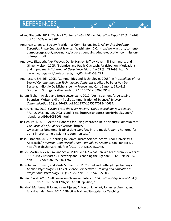# REFERENCES

Allan, Elizabeth. 2011. <sup>4</sup>Table of Contents." *ASHE Higher Education Report* 37 (1): 1–163. doi:10.1002/aehe.3701. **Ag<sup>rOr</sup>igs** 

ives.

**Assistant** 

Jerol

- American Chemical Society Presidential Commission. 2012. Advancing Graduate *Education in the Chemical Sciences*. Washington D.C. http://www.acs.org/content/ dam/acsorg/about/governance/acs-presidential-graduate-education-commissionfull-report.pdf.
- Andrews, Elisabeth, Alex Weaver, Daniel Hanley, Jeffrey Hovermill-Shamantha, and Ginger Melton. 2005. "Scientists and Public Outreach: Participation, Motivations, and Impediments." Journal of Geoscience Education 53 (3): 281–93. http:// www.nagt.org/nagt/jge/abstracts/may05.html#v53p281 .
- Andriessen, J.H. Erik. 2005. "Communities and Technologies 2005." In *Proceedings of the* Second Communities and Technologies Conference, edited by Peter Van Den Besselaar, Giorgio De Michelis, Jenny Preece, and Carla Simone, 191–213. Dordrecht: Springer Netherlands. doi:10.1007/1-4020-3591-8.
- Baram-Tsabari, Ayelet, and Bruce Lewenstein. 2012. "An Instrument for Assessing Scientists' Written Skills in Public Communication of Science." Science *Communica3on* 35 (1): 56–85. doi:10.1177/1075547012440634.
- Baron, Nancy. 2010. *Escape From the Ivory Tower: A Guide to Making Your Science Matter*. Washington, D.C.: Island Press. http://islandpress.org/ip/books/book/ islandpress/E/bo8053066.html.
- Basken, Paul. 2013. "Actor Is Honored for Using Improv to Help Scientists Communicate." The Chronicle of Higher Education. http:// www.centerforcommunicatingscience.org/ccs-in-the-media/actor-is-honored-forusing-improv-to-help-scientists-communicate/.
- Bass, Elizabeth. 2012. "Learning to Communicate Science: Stony Brook University's Approach." American Geophysical Union, Annual Fall Meeting. San Francisco, CA. http://adsabs.harvard.edu/abs/2012AGUFMED22D..07B.
- Bauer, Martin, Nick Allum, and Steve Miller. 2014. "What Can We Learn from 25 Years of PUS Survey Research ? Liberating and Expanding the Agenda" 16 (2007): 79-95. doi:10.1177/0963662506071287.
- Berenbaum, Howard, and Varda Shoham. 2011. "Broad and Cutting-Edge Training in Applied Psychology: A Clinical Science Perspective." *Training and Education in Professional Psychology* 5 (1): 22–29. doi:10.1037/a0022603.
- Bergin, David. 2010. "Influences on Classroom Interest." *Educational Psychologist* 34 (2): 87–98. doi:10.1207/10.1207/s15326985ep3402\_2.
- Berkhof, Marianne, H Jolanda van Rijssen, Antonius Schellart, Johannes Anema, and Allard van der Beek. 2011. "Effective Training Strategies for Teaching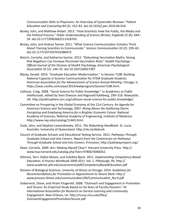Communication Skills to Physicians: An Overview of Systematic Reviews." Patient Education and Counseling 84 (2): 152-62. doi:10.1016/j.pec.2010.06.010.

- Besley, John, and Matthew Nisbet. 2013. "How Scientists View the Public, the Media and the Political Process." *Public Understanding of Science (Bristol, England)* 22 (6): 644– 59. doi:10.1177/0963662511418743.
- Besley, John, and Andrea Tanner. 2011. "What Science Communication Scholars Think About Training Scientists to Communicate." Science Communication 33 (2): 239-63. doi:10.1177/1075547010386972.
- Betsch, Cornelia, and Katharina Sachse. 2013. "Debunking Vaccination Myths: Strong Risk Negations Can Increase Perceived Vaccination Risks." *Health Psychology* : **Official Journal of the Division of Health Psychology, American Psychological** Association 32 (2): 146-55. doi:10.1037/a0027387.
- Blazey, Gerald. 2014. "Graduate Education Modernization." In Session 7108: Building National Capacity in Science Communication for STEM Graduate Students. American Association for the Advancement of Science Annual Meeting. Chicago, IL. https://aaas.confex.com/aaas/2014/webprogram/Session7108.html.
- Calhoun, Craig. 2008. "Social Science for Public Knowledge." In *Academics as Public Intellectuals*, edited by Sven Eliaeson and Ragnvald Kalleberg, 299–318. Newcastle, UK. http://publicsphere.ssrc.org/calhoun-social-science-for-public-knowledge/.
- Committee on Prospering in the Global Economy of the 21st Century: An Agenda for American Science and Technology. 2007. Rising Above the Gathering Storm: *Energizing and Employing America for a Brighter Economic Future.* National Academy of Sciences, National Academy of Engineering, Institute of Medicine. http://www.nap.edu/catalog/11463.html.
- Cook, John, and Stephan Lewandowsky. 2011. The Debunking Handbook. St. Lucia, Australia: University of Queensland. http://sks.to/debunk.
- Council of Graduate Schools and Educational Testing Service. 2012. *Pathways Through* Graduate School and Into Careers. Report from the Commission on Pathways *Through Graduate School and Into Careers*. Princeton, http://pathwaysreport.org/
- Dean, Cornelia. 2009. Am I Making Myself Clear?. Harvard University Press. http:// www.hup.harvard.edu/catalog.php?isbn=9780674066052.
- Dilmore, Terri, Debra Moore, and Zuleikha Bjork. 2011. *Implementing Competency-Based Education: A Process Workbook 2009-2011.* Vol. 1. Pittsburgh, PA. http:// www.academic.pitt.edu/assessment/pdf/CompetencyBasedEducation.pdf
- Division of Biological Sciences, Univerity of Illinois at Chicago. 2014. *Guidelines for Recommendations for Promotion or Appointment to Tenure Rank. http://* www.provost.illinois.edu/communication/09/Communication\_No.9.pdf
- Doberneck, Diane, and Hiram Fitzgerald. 2008. "Outreach and Engagement in Promotion and Tenure: An Empirical Study Based on Six Years of Faculty Dossiers." At **International Association for Research on Service-Learning and Community** *Engagement*. New Orleans, LA. h]p://ncsue.msu.edu/files/ OutreachEngagementPromotionTenure.pdf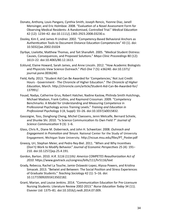- Donato, Anthony, Louis Pangaro, Cynthia Smith, Joseph Rencic, Yvonne Diaz, Janell Mensinger, and Eric Holmboe. 2008. "Evaluation of a Novel Assessment Form for Observing Medical Residents: A Randomised, Controlled Trial." Medical Education 42 (12): 1234–42. doi:10.1111/j.1365-2923.2008.03230.x.
- Dooley, Kim E, and James R Lindner. 2002. "Competency-Based Behavioral Anchors as Authentication Tools to Document Distance Education Competencies" 43 (1). doi: 10.5032/jae.2002.01024
- Dyrbye, Liselotte, Matthew Thomas, and Tait Shanafelt. 2005. "Medical Student Distress: Causes, Consequences, and Proposed Solutions." Mayo Clinic Proceedings 80 (12): 1613–22. doi:10.4065/80.12.1613.
- Ecklund, Elaine Howard, Sarah James, and Anne Lincoln. 2012. "How Academic Biologists and Physicists View Science Outreach." PloS One 7 (5): e36240. doi:10.1371/ journal.pone.0036240.
- Field, Kelly. 2013. "Student Aid Can Be Awarded for 'Competencies,' Not Just Credit Hours - Government - The Chronicle of Higher Education." The Chronicle of Higher *Education*, March. http://chronicle.com/article/Student-Aid-Can-Be-Awarded-for/ 137991/.
- Fouad, Nadya, Catherine Grus, Robert Hatcher, Nadine Kaslow, Philinda Smith Hutchings, Michael Madson, Frank Collins, and Raymond Crossman. 2009. "Competency Benchmarks: A Model for Understanding and Measuring Competence in Professional Psychology across Training Levels." Training and Education in *Professional Psychology* 3 (4, Suppl): S5–26. doi:10.1037/a0015832.
- Gascoigne, Toss, Donghong Cheng, Michel Claessens, Jenni Metcalfe, Bernard Schiele, and Shunke Shi. 2010. "Is Science Communication Its Own Field ?" Journal of Science Communication 9 (3): 1-6.
- Glass, Chris R., Diane M. Doberneck, and John H. Schweitzer. 2008. Outreach and *Engagement in Promotion and Tenure*. National Center for the Study of University Engagement, Michigan State University. http://ncsue.msu.edu/files/PT\_Poster.pdf
- Gneezy, Uri, Stephan Meier, and Pedro Rey-Biel. 2011. "When and Why Incentives (Don't) Work to Modify Behavior." Journal of Economic Perspectives 25 (4): 191-210. doi:10.1257/jep.25.4.191.
- Gordon, Barton. 2010. H.R. 5116 (111th): America COMPETES Reauthorization Act of 2010. https://www.govtrack.us/congress/bills/111/hr5116/text
- Grady, Rebecca, Rachel La Touche, Jamie Oslawski-Lopez, Alyssa Powers, and Kristina Simacek. 2013. "Betwixt and Between: The Social Position and Stress Experiences of Graduate Students." Teaching Sociology 42 (1): 5-16. doi: 10.1177/0092055X13502182.
- Grant, Marian, and Louise Jenkins. 2014. "Communication Education for Pre-Licensure Nursing Students: Literature Review 2002-2013." Nurse Education Today 34 (11). Elsevier Ltd: 1375–81. doi:10.1016/j.nedt.2014.07.009.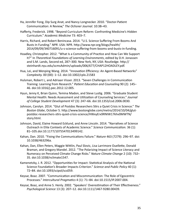- Ha, Jennifer Fong, Dip Surg Anat, and Nancy Longnecker. 2010. "Doctor-Patient Communication: A Review," The Ochsner Journal. 10:38-43.
- Hafferty, Frederick. 1998. "Beyond Curriculum Reform: Confronting Medicine's Hidden Curriculum." *Academic Medicine* 73: 403–7.
- Harris, Richard, and Robert Benincasa. 2014. "U.S. Science Suffering From Booms And Busts In Funding." NPR. USA: NPR. http://www.npr.org/blogs/health/ 2014/09/09/340716091/u-s-science-suffering-from-booms-and-busts-in-funding.
- Hoadley, Christopher. 2012. "What Is a Community of Practice and How Can We Support It?" In Theoretical Foundations of Learning Environments, edited by D.H. Jonassen and S.M. Lands, Second ed, 287-300. New York, NY, USA: Routledge. http:// steinhardt.nyu.edu/scmsAdmin/uploads/006/677/CHAP12HOADLEY.pdf.
- Hua, Lei, and Wenping Wang. 2014. "Innovation Efficiency: An Agent-Based Networks" *Complexity.* 00 (00): 1–12. doi:10.1002/cplx.21583
- Hulsman, Robert L, and Adriaan Visser. 2013. "Seven Challenges in Communication Training: Learning from Research." Patient Education and Counseling 90 (2): 145– 46. doi:10.1016/j.pec.2012.12.005.
- Hyun, Jenny K, Brian Quinn, Temina Madon, and Steve Lustig. 2006. "Graduate Student Mental Health: Needs Assessment and Utilization of Counseling Services." Journal *of College Student Development* 47 (3): 247–66. doi:10.1353/csd.2006.0030.
- Johnson, Carolyn. 2014. "Glut of Postdoc Researchers Stirs a Quiet Crisis in Science." The Boston Globe, October 5. http://www.bostonglobe.com/metro/2014/10/04/glutpostdoc-researchers-stirs-quiet-crisis-science/HWxyErx9RNIW17khv0MWTN/ story.html.
- Johnson, David, Elaine Howard Ecklund, and Anne Lincoln. 2014. "Narratives of Science Outreach in Elite Contexts of Academic Science." Science Communication. 36 (1): 81–105.doi:10.1177/1075547013499142.
- Kahan, Dan. 2010. "Fixing the Communications Failure." *Nature* 463 (7279): 296-97. doi: 10.1038/463296a.
- Kahan, Dan, Ellen Peters, Maggie Wittlin, Paul Slovic, Lisa Larrimore Ouellette, Donald Braman, and Gregory Mandel. 2012. "The Polarizing Impact of Science Literacy and Numeracy on Perceived Climate Change Risks." Nature Climate Change 2 (10): 732-35. doi:10.1038/nclimate1547.
- Kamenetzky, J. R. 2012. "Opportunities for Impact: Statistical Analysis of the National Science Foundation's Broader Impacts Criterion." Science and Public Policy 40 (1): 72–84. doi:10.1093/scipol/scs059.
- Keysar, Boaz. 2007. "Communication and Miscommunication: The Role of Egocentric Processes." Intercultural Pragmatics 4 (1): 71-84. doi:10.1515/IP.2007.004.
- Keysar, Boaz, and Anne S. Henly. 2002. "Speakers' Overestimation of Their Effectiveness." *Psychological Science* 13 (3): 207–12. doi:10.1111/1467-9280.00439.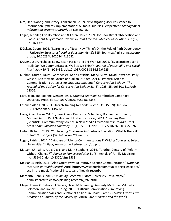- Kim, Hee-Woong, and Atreeyi Kankanhalli. 2009. "Investigating User Resistance to Information Systems Implementation: A Status Quo Bias Perspective." Management *Information Systems Quarterly* 33 (3): 567–82.
- Kogan, Jennifer, Eric Holmboe and & Karen Hauer. 2009. Tools for Direct Observation and Assessment A Systematic Review. *Journal American Medical Association* 302 (12): 1316:1326.
- Krücken, Georg. 2003. "Learning the 'New, New Thing': On the Role of Path Dependency in University Structures." *Higher Education* 46 (3): 315–39. http://link.springer.com/ article/10.1023/A:1025344413682.
- Kruger, Justin, Nicholas Epley, Jason Parker, and Zhi-Wen Ng. 2005. "Egocentrism over E-Mail: Can We Communicate as Well as We Think?" Journal of Personality and Social *Psychology* 89 (6): 925–36. doi:10.1037/0022-3514.89.6.925.
- Kuehne, Lauren, Laura Twardochleb, Keith Fritschie, Meryl Mims, David Lawrence, Polly Gibson, Ben Stewart-Koster, and Julian D Olden. 2014. "Practical Science Communication Strategies for Graduate Students." Conservation Biology : The Journal of the Society for Conservation Biology 28 (5): 1225-35. doi:10.1111/cobi. 12305.
- Lave, Jean, and Etienne Wenger. 1991. Situated Learning. Cambridge: Cambridge University Press. doi:10.1017/CBO9780511815355.
- Leshner, Alan I. 2007. "Outreach Training Needed." Science 315 (5809): 161. doi: 10.1126/science.1138712.
- Liang, Xuan, Leona Y.-F. Su, Sara K. Yeo, Dietram a. Scheufele, Dominique Brossard, Michael Xenos, Paul Nealey, and Elizabeth a. Corley. 2014. "Building Buzz: (Scientists) Communicating Science in New Media Environments." *Journalism & Mass Communication Quarterly* 91 (4): 772–91. doi:10.1177/1077699014550092.
- Linton, Richard. 2013. "Confronting Challenges in Graduate Education: What Is the NSF Role?" GradEdge 2 (3): 1-4. www.CGSnet.org.
- Logan, Patrick. 2014. "Database of Science Communications & Writing Courses at Select Universities." http://www.com.uri.edu/scicom/db.php.
- Matson, Christine, Ardis Davis, and Mark Stephens. 2014. "Another Century of 'Reform without Change?'." Annals of Family Medicine 11 (6). Annals of Family Medicine, Inc.: 581–82. doi:10.1370/afm.1588.
- McManus, Rich. 2011. "Alda Offers Ways To Improve Science Communication." National *Institutes of Health Record, April. http://www.centerforcommunicatingscience.org/* ccs-in-the-media/national-institutes-of-health-record/.
- Meredith, Dennis. 2010. *Explaining Research*. Oxford University Press. http:// dennismeredith.com/explaining-research\_397.html.
- Meyer, Elaine C, Deborah E Sellers, David M Browning, Kimberly McGuffie, Mildred Z Solomon, and Robert D Truog. 2009. "Difficult Conversations: Improving Communication Skills and Relational Abilities in Health Care." *Pediatric Critical Care Medicine* : A Journal of the Society of Critical Care Medicine and the World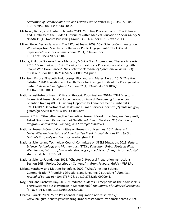*Federation of Pediatric Intensive and Critical Care Societies* 10 (3): 352–59. doi: 10.1097/PCC.0b013e3181a3183a. 

- Michalec, Barret, and Frederic Hafferty. 2013. "Stunting Professionalism: The Potency and Durability of the Hidden Curriculum within Medical Education." Social Theory & Health 11 (4). Nature Publishing Group: 388-406. doi:10.1057/sth.2013.6.
- Miller, Steve, Declan Fahy, and The ESConet Team. 2009. "Can Science Communication Workshops Train Scientists for Reflexive Public Engagement?: The ESConet Experience." Science Communication 31 (1): 116-26. doi: 10.1177/1075547009339048.
- Moore, Philippa, Solange Rivera Mercado, Mónica Grez Artigues, and Theresa A Lawrie. 2013. "Communication Skills Training for Healthcare Professionals Working with People Who Have Cancer." The Cochrane Database of Systematic Reviews 3 (3): CD003751. doi:10.1002/14651858.CD003751.pub3.
- Morrison, Emory, Elizabeth Rudd, Joseph Picciano, and Maresi Nerad. 2010. "Are You Satisfied? PhD Education and Faculty Taste for Prestige: Limits of the Prestige Value System." Research in Higher Education 52 (1): 24-46. doi:10.1007/ s11162-010-9184-1.
- National Institutes of Health Office of Strategic Coordination. 2014a. "NIH Director's Biomedical Research Workforce Innovation Award: Broadening Experiences in Scientific Training (BEST). Funding Opportunity Announcement Number RFA-RM-13-019." Department of Health and Human Services. doi:http://grants.nih.gov/ grants/guide/rfa-files/RFA-RM-13-019.html.
- ———. 2014b. "Strengthening the Biomedical Research Workforce Program: Frequently Asked Questions." Department of Health and Human Services, NIH, Division of *Program Coordination, Planning, and Strategic Initiatives.*
- National Research Council Committee on Research Universities. 2012. *Research* Universities and the Future of America: Ten Breakthrough Actions Vital to Our *Nation's Prosperity and Security*. Washington, D.C.
- National Science and Technology Council Committee on STEM Education. 2013. *Federal* Science, Technology, and Mathematics (STEM) Education: 5-Year Strategic Plan. Washington, D.C. http://www.whitehouse.gov/sites/default/files/microsites/ostp/ stem stratplan 2013.pdf.
- National Science Foundation. 2013. "Chapter 2: Proposal Preparation Instructions, Section 2d(ii): Project Description Content." In *Grant Proposal Guide* - NSF 13-1.
- Nisbet, Matthew, and Dietram Scheufele. 2009. "What's next for Science Communication? Promising Directions and Lingering Distractions." American *Journal of Botany* 96 (10): 1767–78. doi:10.3732/ajb.0900041.
- Noy, Shiri, and Rashawn Ray. 2012. "Graduate Students' Perceptions of Their Advisors: Is There Systematic Disadvantage in Mentorship?" The Journal of Higher Education 83 (6): 876–914. doi:10.1353/jhe.2012.0036.
- Obama, Barack. 2009. "56th Presidential Inauguration Address." http:// www.inaugural.senate.gov/swearing-in/address/address-by-barack-obama-2009.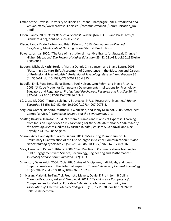- Office of the Provost, University of Illinois at Urbana-Champagne. 2011. *Promotion and Tenure*. http://www.provost.illinois.edu/communication/09/Communication No. 9.pdf
- Olson, Randy. 2009. *Don't Be Such a Scientist*. Washington, D.C.: Island Press. http:// islandpress.org/dont-be-such-scientist.
- Olson, Randy, Dorie Barton, and Brian Palermo. 2013. Connection: Hollywood **Storytelling Meets Critical Thinking. Prarie Starfish Productions.**
- Powers, Joshua. 2000. "The Use of Institutional Incentive Grants for Strategic Change in Higher Education." The Review of Higher Education 23 (3): 281–98. doi:10.1353/rhe. 2000.0013.
- Roberts, Michael, Kathi Borden, Martha Dennis Christiansen, and Shane Lopez. 2005. "Fostering a Culture Shift: Assessment of Competence in the Education and Careers of Professional Psychologists." Professional Psychology: Research and Practice 36 (4): 355–61. doi:10.1037/0735-7028.36.4.355.
- Rodolfa, Emil, Russ Bent, Elena Eisman, Paul Nelson, Lynn Rehm, and Pierre Ritchie. 2005. "A Cube Model for Competency Development: Implications for Psychology Educators and Regulators." *Professional Psychology: Research and Practice* 36 (4): 347–54. doi:10.1037/0735-7028.36.4.347.
- Sá, Creso M. 2007. "'Interdisciplinary Strategies' in U.S. Research Universities." *Higher Educa3on* 55 (5): 537–52. doi:10.1007/s10734-007-9073-5.
- Salguero-Gomez, Roberto, Matthew D Whiteside, and Jenny M Talbot. 2008. "After 'eco' Comes 'service.'" Frontiers in Ecology and the Environment, 2-3.
- Shaffer, David Williamson. 2004. "Epistemic Frames and Islands of Expertise: Learning from Infusion Experiences." In *Proceedings of the Sixth International Conference of* the Learning Sciences, edited by Yasmin B. Kafai, William A. Sandoval, and Noel Enyedy, 473-80. Los Angeles.
- Sharon, Aviv J, and Ayelet Baram-Tsabari. 2014. "Measuring Mumbo Jumbo: A Preliminary Quantification of the Use of Jargon in Science Communication." Public *Understanding of Science* 23 (5): 528–46. doi:10.1177/0963662512469916.
- Silva, Joana, and Karen Bultitude. 2009. "Best Practice in Communications Training for Public Engagement with Science, Technology, Engineering and Mathematics." *Journal of Science Communication 8 (2): A03.*
- Simonton, Dean Keith. 2006. "Scientific Status of Disciplines, Individuals, and Ideas: Empirical Analyses of the Potential Impact of Theory." *Review of General Psychology* 10 (2): 98–112. doi:10.1037/1089-2680.10.2.98.
- Srinivasan, Malathi, Su-Ting T Li, Fredrick J Meyers, Daniel D Pratt, John B Collins, Clarence Braddock, Kelley M Skeff, et al. 2011. "'Teaching as a Competency': Competencies for Medical Educators." Academic Medicine : Journal of the Association of American Medical Colleges 86 (10): 1211–20. doi:10.1097/ACM. 0b013e31822c5b9a.